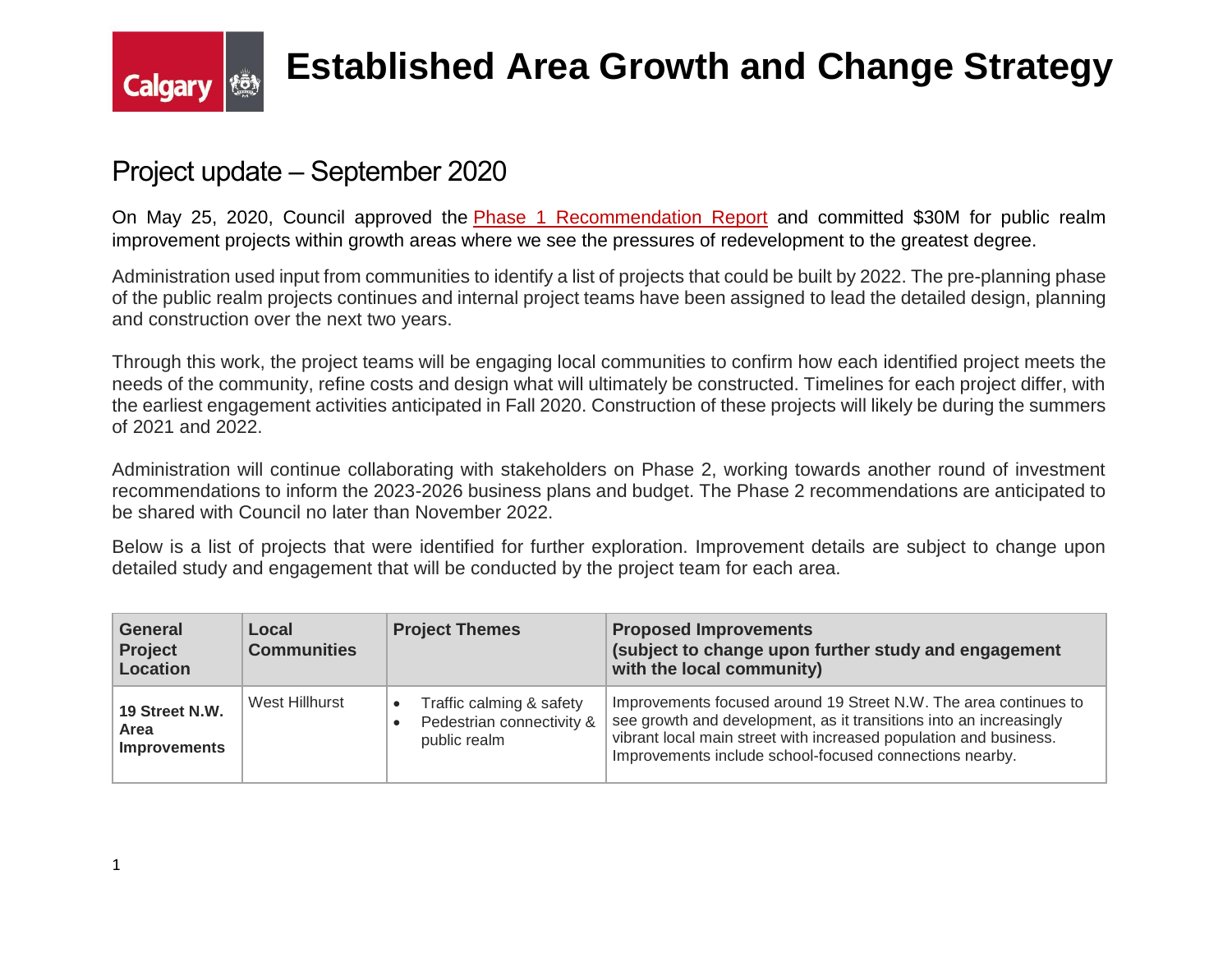

### **Established Area Growth and Change Strategy**

#### Project update – September 2020

On May 25, 2020, Council approved the Phase 1 [Recommendation](https://pub-calgary.escribemeetings.com/filestream.ashx?DocumentId=128914) Report and committed \$30M for public realm improvement projects within growth areas where we see the pressures of redevelopment to the greatest degree.

Administration used input from communities to identify a list of projects that could be built by 2022. The pre-planning phase of the public realm projects continues and internal project teams have been assigned to lead the detailed design, planning and construction over the next two years.

Through this work, the project teams will be engaging local communities to confirm how each identified project meets the needs of the community, refine costs and design what will ultimately be constructed. Timelines for each project differ, with the earliest engagement activities anticipated in Fall 2020. Construction of these projects will likely be during the summers of 2021 and 2022.

Administration will continue collaborating with stakeholders on Phase 2, working towards another round of investment recommendations to inform the 2023-2026 business plans and budget. The Phase 2 recommendations are anticipated to be shared with Council no later than November 2022.

Below is a list of projects that were identified for further exploration. Improvement details are subject to change upon detailed study and engagement that will be conducted by the project team for each area.

| General<br><b>Project</b><br>Location         | Local<br><b>Communities</b> | <b>Project Themes</b>                                                              | <b>Proposed Improvements</b><br>(subject to change upon further study and engagement<br>with the local community)                                                                                                                                                      |
|-----------------------------------------------|-----------------------------|------------------------------------------------------------------------------------|------------------------------------------------------------------------------------------------------------------------------------------------------------------------------------------------------------------------------------------------------------------------|
| 19 Street N.W.<br>Area<br><b>Improvements</b> | West Hillhurst              | Traffic calming & safety<br>$\bullet$<br>Pedestrian connectivity &<br>public realm | Improvements focused around 19 Street N.W. The area continues to<br>see growth and development, as it transitions into an increasingly<br>vibrant local main street with increased population and business.<br>Improvements include school-focused connections nearby. |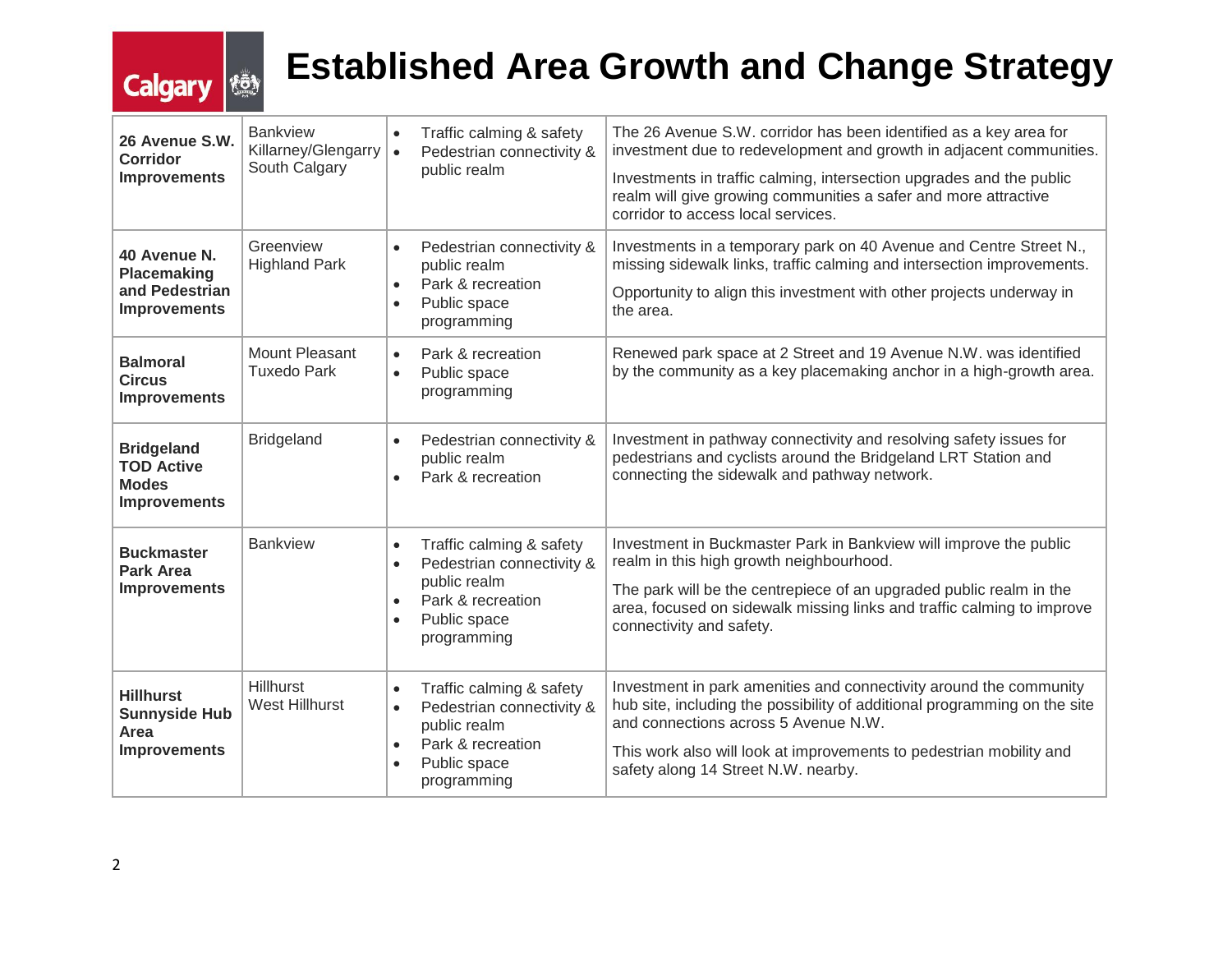# **Calgary**

## **Established Area Growth and Change Strategy**

| 26 Avenue S.W.<br>Corridor<br><b>Improvements</b>                             | <b>Bankview</b><br>Killarney/Glengarry<br>South Calgary | $\bullet$<br>$\bullet$                           | Traffic calming & safety<br>Pedestrian connectivity &<br>public realm                                                     | The 26 Avenue S.W. corridor has been identified as a key area for<br>investment due to redevelopment and growth in adjacent communities.<br>Investments in traffic calming, intersection upgrades and the public<br>realm will give growing communities a safer and more attractive<br>corridor to access local services. |
|-------------------------------------------------------------------------------|---------------------------------------------------------|--------------------------------------------------|---------------------------------------------------------------------------------------------------------------------------|---------------------------------------------------------------------------------------------------------------------------------------------------------------------------------------------------------------------------------------------------------------------------------------------------------------------------|
| 40 Avenue N.<br><b>Placemaking</b><br>and Pedestrian<br><b>Improvements</b>   | Greenview<br><b>Highland Park</b>                       | $\bullet$<br>$\bullet$<br>$\bullet$              | Pedestrian connectivity &<br>public realm<br>Park & recreation<br>Public space<br>programming                             | Investments in a temporary park on 40 Avenue and Centre Street N.,<br>missing sidewalk links, traffic calming and intersection improvements.<br>Opportunity to align this investment with other projects underway in<br>the area.                                                                                         |
| <b>Balmoral</b><br><b>Circus</b><br><b>Improvements</b>                       | Mount Pleasant<br><b>Tuxedo Park</b>                    | $\bullet$<br>$\bullet$                           | Park & recreation<br>Public space<br>programming                                                                          | Renewed park space at 2 Street and 19 Avenue N.W. was identified<br>by the community as a key placemaking anchor in a high-growth area.                                                                                                                                                                                   |
| <b>Bridgeland</b><br><b>TOD Active</b><br><b>Modes</b><br><b>Improvements</b> | <b>Bridgeland</b>                                       | $\bullet$<br>$\bullet$                           | Pedestrian connectivity &<br>public realm<br>Park & recreation                                                            | Investment in pathway connectivity and resolving safety issues for<br>pedestrians and cyclists around the Bridgeland LRT Station and<br>connecting the sidewalk and pathway network.                                                                                                                                      |
| <b>Buckmaster</b><br><b>Park Area</b><br><b>Improvements</b>                  | <b>Bankview</b>                                         | $\bullet$<br>$\bullet$<br>$\bullet$<br>$\bullet$ | Traffic calming & safety<br>Pedestrian connectivity &<br>public realm<br>Park & recreation<br>Public space<br>programming | Investment in Buckmaster Park in Bankview will improve the public<br>realm in this high growth neighbourhood.<br>The park will be the centrepiece of an upgraded public realm in the<br>area, focused on sidewalk missing links and traffic calming to improve<br>connectivity and safety.                                |
| <b>Hillhurst</b><br><b>Sunnyside Hub</b><br>Area<br><b>Improvements</b>       | <b>Hillhurst</b><br><b>West Hillhurst</b>               | $\bullet$<br>$\bullet$<br>$\bullet$<br>$\bullet$ | Traffic calming & safety<br>Pedestrian connectivity &<br>public realm<br>Park & recreation<br>Public space<br>programming | Investment in park amenities and connectivity around the community<br>hub site, including the possibility of additional programming on the site<br>and connections across 5 Avenue N.W.<br>This work also will look at improvements to pedestrian mobility and<br>safety along 14 Street N.W. nearby.                     |